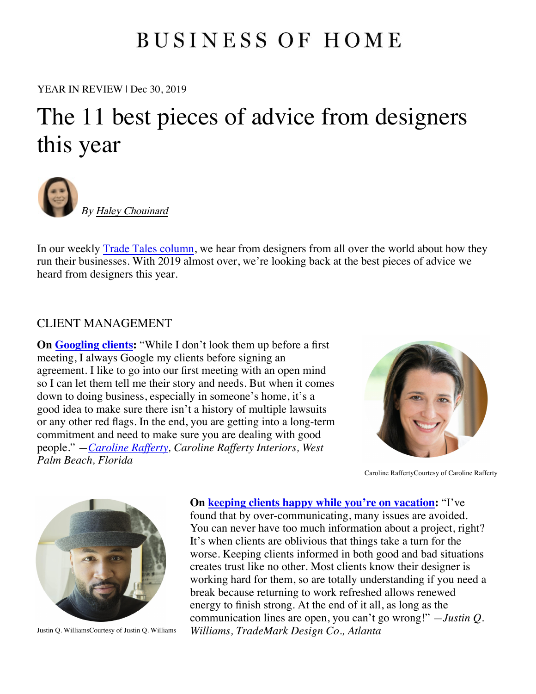# **BUSINESS OF HOME**

[YEAR IN REVIEW](https://businessofhome.com/articles/authored_by/Haley-Chouinard) | Dec 30, 2019

# The 11 best pieces of advice from designers this year



By Haley Chouinard

In our weekly Trade Tales column, we hear from designers from all over the world about how they run their businesses. With 2019 almost over, we're looking back at the best pieces of advice we heard from designers this year.

## CLIENT MANAGEMENT

**On Googling clients:** "While I don't look them up before a first meeting, I always Google my clients before signing an agreement. I like to go into our first meeting with an open mind so I can let them tell me their story and needs. But when it comes down to doing business, especially in someone's home, it's a good idea to make sure there isn't a history of multiple lawsuits or any other red flags. In the end, you are getting into a long-term commitment and need to make sure you are dealing with good people." *—Caroline Rafferty, Caroline Rafferty Interiors, West Palm Beach, Florida*



Caroline RaffertyCourtesy of Caroline Rafferty



### **On keeping clients happy while you're on vacation:** "I've

found that by over-communicating, many issues are avoided. You can never have too much information about a project, right? It's when clients are oblivious that things take a turn for the worse. Keeping clients informed in both good and bad situations creates trust like no other. Most clients know their designer is working hard for them, so are totally understanding if you need a break because returning to work refreshed allows renewed energy to finish strong. At the end of it all, as long as the communication lines are open, you can't go wrong!" *—Justin Q.*  Justin Q. WilliamsCourtesy of Justin Q. Williams *Williams, TradeMark Design Co., Atlanta*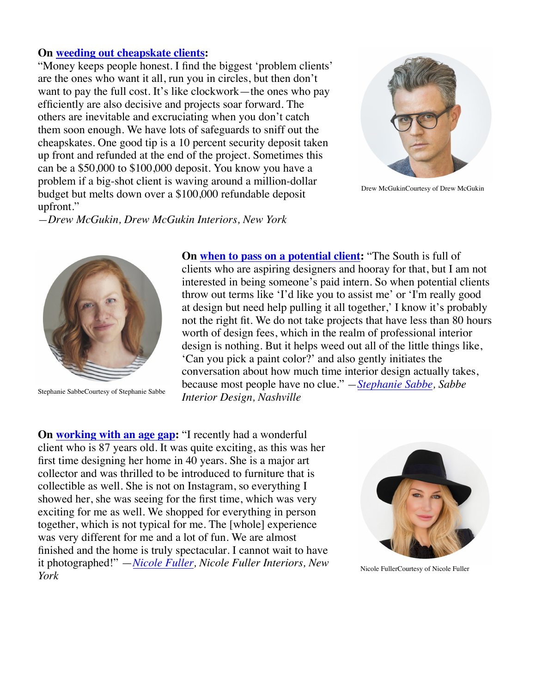#### **On weeding out cheapskate clients:**

"Money keeps people honest. I find the biggest 'problem clients' are the ones who want it all, run you in circles, but then don't want to pay the full cost. It's like clockwork—the ones who pay efficiently are also decisive and projects soar forward. The others are inevitable and excruciating when you don't catch them soon enough. We have lots of safeguards to sniff out the cheapskates. One good tip is a 10 percent security deposit taken up front and refunded at the end of the project. Sometimes this can be a \$50,000 to \$100,000 deposit. You know you have a problem if a big-shot client is waving around a million-dollar budget but melts down over a \$100,000 refundable deposit upfront."



Drew McGukinCourtesy of Drew McGukin

*—Drew McGukin, Drew McGukin Interiors, New York*



**On when to pass on a potential client:** "The South is full of clients who are aspiring designers and hooray for that, but I am not interested in being someone's paid intern. So when potential clients throw out terms like 'I'd like you to assist me' or 'I'm really good at design but need help pulling it all together,' I know it's probably not the right fit. We do not take projects that have less than 80 hours worth of design fees, which in the realm of professional interior design is nothing. But it helps weed out all of the little things like, 'Can you pick a paint color?' and also gently initiates the conversation about how much time interior design actually takes, because most people have no clue." *—Stephanie Sabbe, Sabbe*  Stephanie SabbeCourtesy of Stephanie Sabbe<br>*Interior Design, Nashville* 

**On working with an age gap:** "I recently had a wonderful client who is 87 years old. It was quite exciting, as this was her first time designing her home in 40 years. She is a major art collector and was thrilled to be introduced to furniture that is collectible as well. She is not on Instagram, so everything I showed her, she was seeing for the first time, which was very exciting for me as well. We shopped for everything in person together, which is not typical for me. The [whole] experience was very different for me and a lot of fun. We are almost finished and the home is truly spectacular. I cannot wait to have it photographed!" —*Nicole Fuller, Nicole Fuller Interiors, New York*



Nicole FullerCourtesy of Nicole Fuller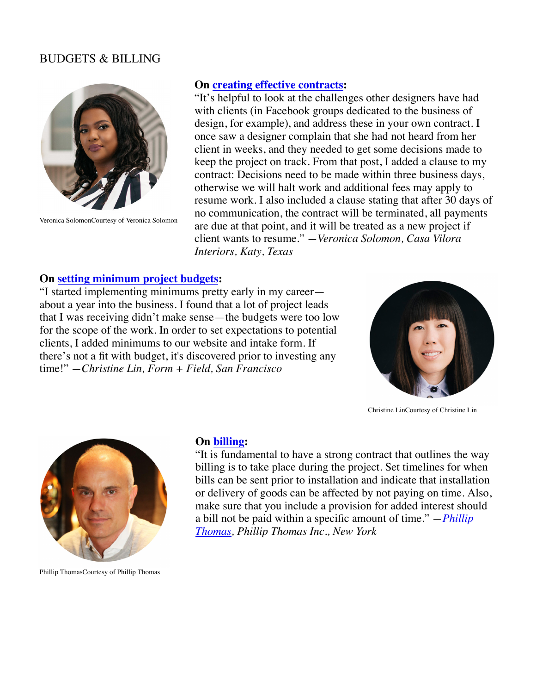### BUDGETS & BILLING



Veronica SolomonCourtesy of Veronica Solomon

#### **On creating effective contracts:**

"It's helpful to look at the challenges other designers have had with clients (in Facebook groups dedicated to the business of design, for example), and address these in your own contract. I once saw a designer complain that she had not heard from her client in weeks, and they needed to get some decisions made to keep the project on track. From that post, I added a clause to my contract: Decisions need to be made within three business days, otherwise we will halt work and additional fees may apply to resume work. I also included a clause stating that after 30 days of no communication, the contract will be terminated, all payments are due at that point, and it will be treated as a new project if client wants to resume." *—Veronica Solomon, Casa Vilora Interiors, Katy, Texas*

#### **On setting minimum project budgets:**

"I started implementing minimums pretty early in my career about a year into the business. I found that a lot of project leads that I was receiving didn't make sense—the budgets were too low for the scope of the work. In order to set expectations to potential clients, I added minimums to our website and intake form. If there's not a fit with budget, it's discovered prior to investing any time!" *—Christine Lin, Form + Field, San Francisco*



Christine LinCourtesy of Christine Lin



Phillip ThomasCourtesy of Phillip Thomas

#### **On billing:**

"It is fundamental to have a strong contract that outlines the way billing is to take place during the project. Set timelines for when bills can be sent prior to installation and indicate that installation or delivery of goods can be affected by not paying on time. Also, make sure that you include a provision for added interest should a bill not be paid within a specific amount of time." *—Phillip Thomas, Phillip Thomas Inc., New York*